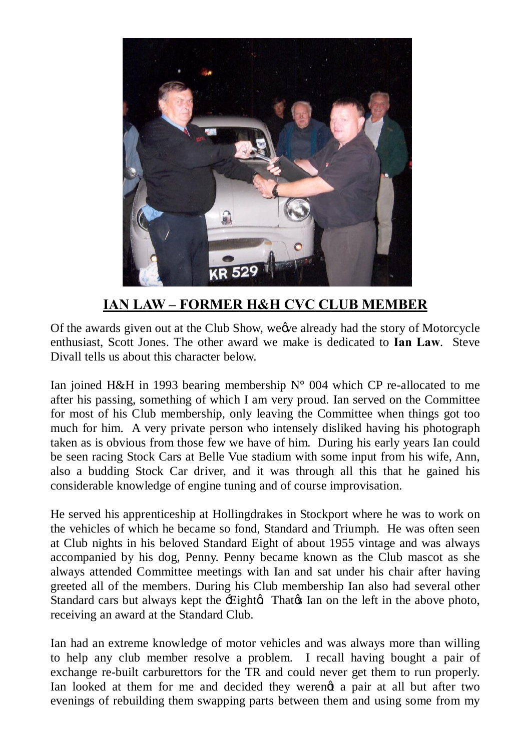

## **IAN LAW – FORMER H&H CVC CLUB MEMBER**

Of the awards given out at the Club Show, we we already had the story of Motorcycle enthusiast, Scott Jones. The other award we make is dedicated to **Ian Law**. Steve Divall tells us about this character below.

Ian joined H&H in 1993 bearing membership  $N^{\circ}$  004 which CP re-allocated to me after his passing, something of which I am very proud. Ian served on the Committee for most of his Club membership, only leaving the Committee when things got too much for him. A very private person who intensely disliked having his photograph taken as is obvious from those few we have of him. During his early years Ian could be seen racing Stock Cars at Belle Vue stadium with some input from his wife, Ann, also a budding Stock Car driver, and it was through all this that he gained his considerable knowledge of engine tuning and of course improvisation.

He served his apprenticeship at Hollingdrakes in Stockport where he was to work on the vehicles of which he became so fond, Standard and Triumph. He was often seen at Club nights in his beloved Standard Eight of about 1955 vintage and was always accompanied by his dog, Penny. Penny became known as the Club mascot as she always attended Committee meetings with Ian and sat under his chair after having greeted all of the members. During his Club membership Ian also had several other Standard cars but always kept the  $\pm$  Eight $\alpha$ . That $\alpha$  Ian on the left in the above photo, receiving an award at the Standard Club.

Ian had an extreme knowledge of motor vehicles and was always more than willing to help any club member resolve a problem. I recall having bought a pair of exchange re-built carburettors for the TR and could never get them to run properly. Ian looked at them for me and decided they werengt a pair at all but after two evenings of rebuilding them swapping parts between them and using some from my